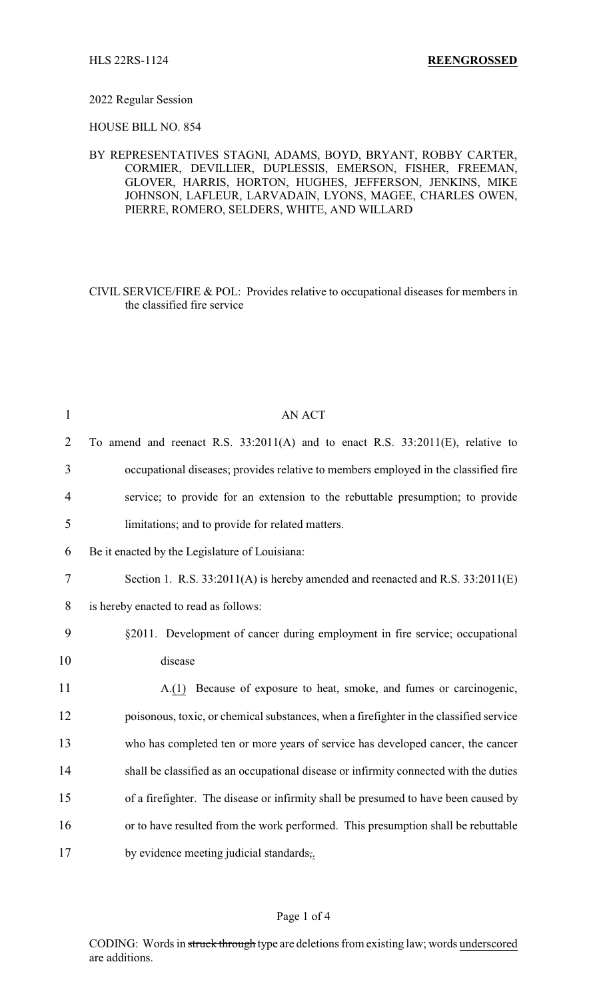## 2022 Regular Session

HOUSE BILL NO. 854

BY REPRESENTATIVES STAGNI, ADAMS, BOYD, BRYANT, ROBBY CARTER, CORMIER, DEVILLIER, DUPLESSIS, EMERSON, FISHER, FREEMAN, GLOVER, HARRIS, HORTON, HUGHES, JEFFERSON, JENKINS, MIKE JOHNSON, LAFLEUR, LARVADAIN, LYONS, MAGEE, CHARLES OWEN, PIERRE, ROMERO, SELDERS, WHITE, AND WILLARD

CIVIL SERVICE/FIRE & POL: Provides relative to occupational diseases for members in the classified fire service

| $\mathbf{1}$   | <b>AN ACT</b>                                                                          |
|----------------|----------------------------------------------------------------------------------------|
| $\overline{2}$ | To amend and reenact R.S. $33:2011(A)$ and to enact R.S. $33:2011(E)$ , relative to    |
| 3              | occupational diseases; provides relative to members employed in the classified fire    |
| 4              | service; to provide for an extension to the rebuttable presumption; to provide         |
| 5              | limitations; and to provide for related matters.                                       |
| 6              | Be it enacted by the Legislature of Louisiana:                                         |
| $\tau$         | Section 1. R.S. 33:2011(A) is hereby amended and reenacted and R.S. 33:2011(E)         |
| 8              | is hereby enacted to read as follows:                                                  |
| 9              | §2011. Development of cancer during employment in fire service; occupational           |
| 10             | disease                                                                                |
| 11             | A.(1) Because of exposure to heat, smoke, and fumes or carcinogenic,                   |
| 12             | poisonous, toxic, or chemical substances, when a firefighter in the classified service |
| 13             | who has completed ten or more years of service has developed cancer, the cancer        |
| 14             | shall be classified as an occupational disease or infirmity connected with the duties  |
| 15             | of a firefighter. The disease or infirmity shall be presumed to have been caused by    |
| 16             | or to have resulted from the work performed. This presumption shall be rebuttable      |
| 17             | by evidence meeting judicial standards,.                                               |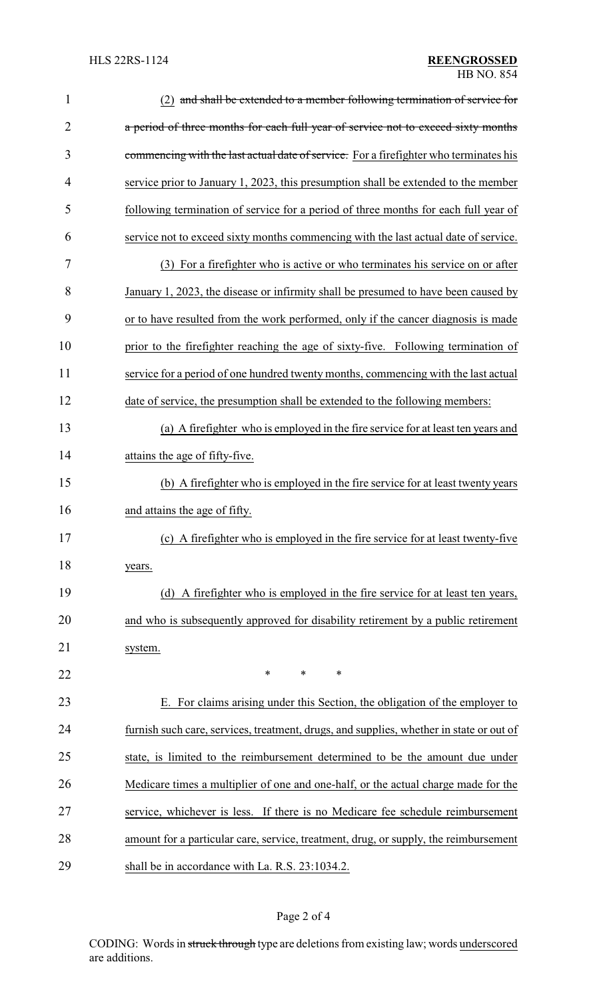| 1              | (2) and shall be extended to a member following termination of service for              |
|----------------|-----------------------------------------------------------------------------------------|
| $\overline{2}$ | a period of three months for each full year of service not to exceed sixty months       |
| 3              | commencing with the last actual date of service. For a firefighter who terminates his   |
| 4              | service prior to January 1, 2023, this presumption shall be extended to the member      |
| 5              | following termination of service for a period of three months for each full year of     |
| 6              | service not to exceed sixty months commencing with the last actual date of service.     |
| 7              | (3) For a firefighter who is active or who terminates his service on or after           |
| 8              | January 1, 2023, the disease or infirmity shall be presumed to have been caused by      |
| 9              | or to have resulted from the work performed, only if the cancer diagnosis is made       |
| 10             | prior to the firefighter reaching the age of sixty-five. Following termination of       |
| 11             | service for a period of one hundred twenty months, commencing with the last actual      |
| 12             | date of service, the presumption shall be extended to the following members:            |
| 13             | (a) A firefighter who is employed in the fire service for at least ten years and        |
| 14             | attains the age of fifty-five.                                                          |
| 15             | (b) A firefighter who is employed in the fire service for at least twenty years         |
| 16             | and attains the age of fifty.                                                           |
| 17             | (c) A firefighter who is employed in the fire service for at least twenty-five          |
| 18             | years.                                                                                  |
| 19             | (d) A firefighter who is employed in the fire service for at least ten years,           |
| 20             | and who is subsequently approved for disability retirement by a public retirement       |
| 21             | system.                                                                                 |
| 22             | *<br>∗<br>∗                                                                             |
| 23             | E. For claims arising under this Section, the obligation of the employer to             |
| 24             | furnish such care, services, treatment, drugs, and supplies, whether in state or out of |
| 25             | state, is limited to the reimbursement determined to be the amount due under            |
| 26             | Medicare times a multiplier of one and one-half, or the actual charge made for the      |
| 27             | service, whichever is less. If there is no Medicare fee schedule reimbursement          |
| 28             | amount for a particular care, service, treatment, drug, or supply, the reimbursement    |
| 29             | shall be in accordance with La. R.S. 23:1034.2.                                         |

## Page 2 of 4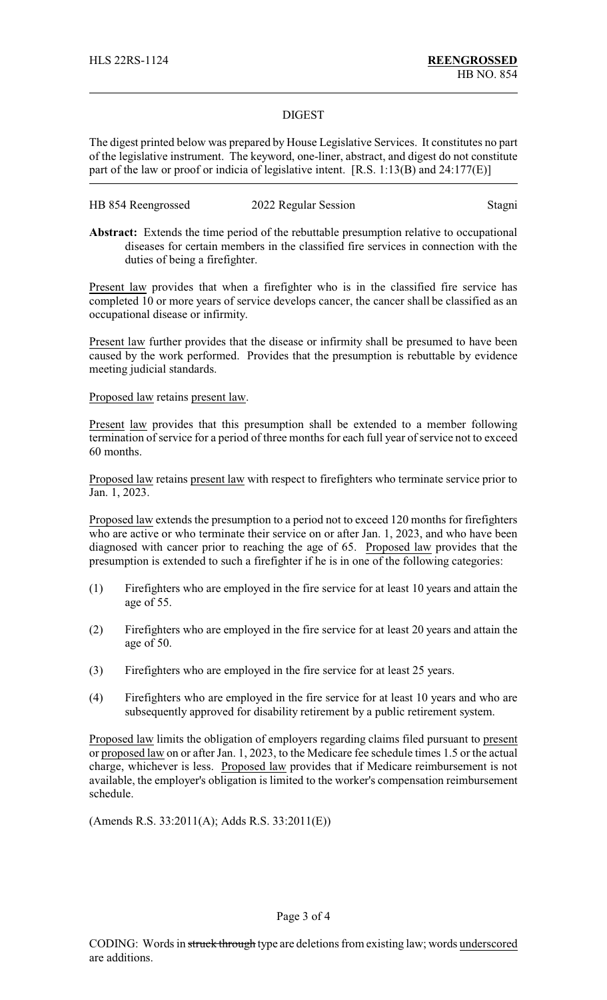## DIGEST

The digest printed below was prepared by House Legislative Services. It constitutes no part of the legislative instrument. The keyword, one-liner, abstract, and digest do not constitute part of the law or proof or indicia of legislative intent. [R.S. 1:13(B) and 24:177(E)]

| HB 854 Reengrossed | 2022 Regular Session | Stagni |
|--------------------|----------------------|--------|
|--------------------|----------------------|--------|

**Abstract:** Extends the time period of the rebuttable presumption relative to occupational diseases for certain members in the classified fire services in connection with the duties of being a firefighter.

Present law provides that when a firefighter who is in the classified fire service has completed 10 or more years of service develops cancer, the cancer shall be classified as an occupational disease or infirmity.

Present law further provides that the disease or infirmity shall be presumed to have been caused by the work performed. Provides that the presumption is rebuttable by evidence meeting judicial standards.

Proposed law retains present law.

Present law provides that this presumption shall be extended to a member following termination of service for a period of three months for each full year of service not to exceed 60 months.

Proposed law retains present law with respect to firefighters who terminate service prior to Jan. 1, 2023.

Proposed law extends the presumption to a period not to exceed 120 months for firefighters who are active or who terminate their service on or after Jan. 1, 2023, and who have been diagnosed with cancer prior to reaching the age of 65. Proposed law provides that the presumption is extended to such a firefighter if he is in one of the following categories:

- (1) Firefighters who are employed in the fire service for at least 10 years and attain the age of 55.
- (2) Firefighters who are employed in the fire service for at least 20 years and attain the age of 50.
- (3) Firefighters who are employed in the fire service for at least 25 years.
- (4) Firefighters who are employed in the fire service for at least 10 years and who are subsequently approved for disability retirement by a public retirement system.

Proposed law limits the obligation of employers regarding claims filed pursuant to present or proposed law on or after Jan. 1, 2023, to the Medicare fee schedule times 1.5 or the actual charge, whichever is less. Proposed law provides that if Medicare reimbursement is not available, the employer's obligation is limited to the worker's compensation reimbursement schedule.

(Amends R.S. 33:2011(A); Adds R.S. 33:2011(E))